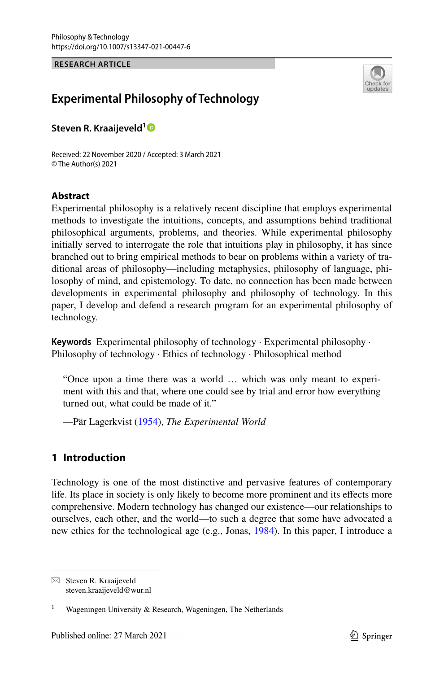**RESEARCH ARTICLE**



# **Experimental Philosophy of Technology**

**Steven R. Kraaijeveld[1](http://orcid.org/0000-0002-6338-6305)**

Received: 22 November 2020 / Accepted: 3 March 2021 © The Author(s) 2021

### **Abstract**

Experimental philosophy is a relatively recent discipline that employs experimental methods to investigate the intuitions, concepts, and assumptions behind traditional philosophical arguments, problems, and theories. While experimental philosophy initially served to interrogate the role that intuitions play in philosophy, it has since branched out to bring empirical methods to bear on problems within a variety of traditional areas of philosophy—including metaphysics, philosophy of language, philosophy of mind, and epistemology. To date, no connection has been made between developments in experimental philosophy and philosophy of technology. In this paper, I develop and defend a research program for an experimental philosophy of technology.

**Keywords** Experimental philosophy of technology · Experimental philosophy · Philosophy of technology · Ethics of technology · Philosophical method

"Once upon a time there was a world … which was only meant to experiment with this and that, where one could see by trial and error how everything turned out, what could be made of it."

—Pär Lagerkvist [\(1954](#page-18-0)), *The Experimental World*

### **1 Introduction**

Technology is one of the most distinctive and pervasive features of contemporary life. Its place in society is only likely to become more prominent and its efects more comprehensive. Modern technology has changed our existence—our relationships to ourselves, each other, and the world—to such a degree that some have advocated a new ethics for the technological age (e.g., Jonas, [1984](#page-17-0)). In this paper, I introduce a

 $\boxtimes$  Steven R. Kraaijeveld steven.kraaijeveld@wur.nl

Wageningen University & Research, Wageningen, The Netherlands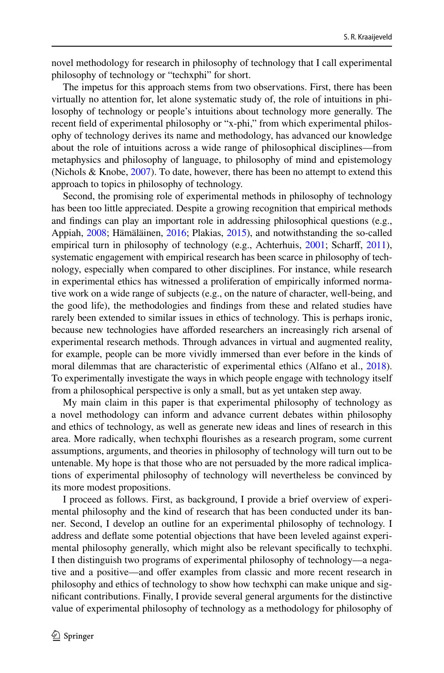novel methodology for research in philosophy of technology that I call experimental philosophy of technology or "techxphi" for short.

The impetus for this approach stems from two observations. First, there has been virtually no attention for, let alone systematic study of, the role of intuitions in philosophy of technology or people's intuitions about technology more generally. The recent feld of experimental philosophy or "x-phi," from which experimental philosophy of technology derives its name and methodology, has advanced our knowledge about the role of intuitions across a wide range of philosophical disciplines—from metaphysics and philosophy of language, to philosophy of mind and epistemology (Nichols & Knobe, [2007](#page-18-1)). To date, however, there has been no attempt to extend this approach to topics in philosophy of technology.

Second, the promising role of experimental methods in philosophy of technology has been too little appreciated. Despite a growing recognition that empirical methods and fndings can play an important role in addressing philosophical questions (e.g., Appiah, [2008;](#page-16-0) Hämäläinen, [2016;](#page-17-1) Plakias, [2015](#page-18-2)), and notwithstanding the so-called empirical turn in philosophy of technology (e.g., Achterhuis, [2001](#page-16-1); Scharff, [2011\)](#page-18-3), systematic engagement with empirical research has been scarce in philosophy of technology, especially when compared to other disciplines. For instance, while research in experimental ethics has witnessed a proliferation of empirically informed normative work on a wide range of subjects (e.g., on the nature of character, well-being, and the good life), the methodologies and fndings from these and related studies have rarely been extended to similar issues in ethics of technology. This is perhaps ironic, because new technologies have aforded researchers an increasingly rich arsenal of experimental research methods. Through advances in virtual and augmented reality, for example, people can be more vividly immersed than ever before in the kinds of moral dilemmas that are characteristic of experimental ethics (Alfano et al., [2018\)](#page-16-2). To experimentally investigate the ways in which people engage with technology itself from a philosophical perspective is only a small, but as yet untaken step away.

My main claim in this paper is that experimental philosophy of technology as a novel methodology can inform and advance current debates within philosophy and ethics of technology, as well as generate new ideas and lines of research in this area. More radically, when techxphi fourishes as a research program, some current assumptions, arguments, and theories in philosophy of technology will turn out to be untenable. My hope is that those who are not persuaded by the more radical implications of experimental philosophy of technology will nevertheless be convinced by its more modest propositions.

I proceed as follows. First, as background, I provide a brief overview of experimental philosophy and the kind of research that has been conducted under its banner. Second, I develop an outline for an experimental philosophy of technology. I address and defate some potential objections that have been leveled against experimental philosophy generally, which might also be relevant specifcally to techxphi. I then distinguish two programs of experimental philosophy of technology—a negative and a positive—and offer examples from classic and more recent research in philosophy and ethics of technology to show how techxphi can make unique and signifcant contributions. Finally, I provide several general arguments for the distinctive value of experimental philosophy of technology as a methodology for philosophy of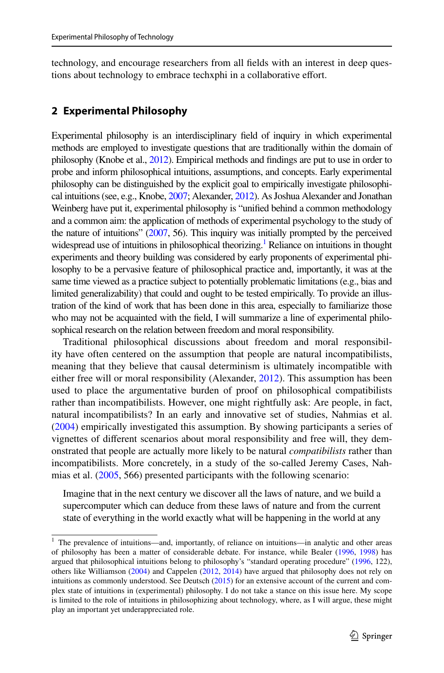technology, and encourage researchers from all felds with an interest in deep questions about technology to embrace techxphi in a collaborative effort.

### **2 Experimental Philosophy**

Experimental philosophy is an interdisciplinary feld of inquiry in which experimental methods are employed to investigate questions that are traditionally within the domain of philosophy (Knobe et al., [2012\)](#page-18-4). Empirical methods and fndings are put to use in order to probe and inform philosophical intuitions, assumptions, and concepts. Early experimental philosophy can be distinguished by the explicit goal to empirically investigate philosophical intuitions (see, e.g., Knobe, [2007;](#page-17-2) Alexander, [2012\)](#page-16-3). As Joshua Alexander and Jonathan Weinberg have put it, experimental philosophy is "unifed behind a common methodology and a common aim: the application of methods of experimental psychology to the study of the nature of intuitions" [\(2007](#page-16-4), 56). This inquiry was initially prompted by the perceived widespread use of intuitions in philosophical theorizing.<sup>1</sup> Reliance on intuitions in thought experiments and theory building was considered by early proponents of experimental philosophy to be a pervasive feature of philosophical practice and, importantly, it was at the same time viewed as a practice subject to potentially problematic limitations (e.g., bias and limited generalizability) that could and ought to be tested empirically. To provide an illustration of the kind of work that has been done in this area, especially to familiarize those who may not be acquainted with the feld, I will summarize a line of experimental philosophical research on the relation between freedom and moral responsibility.

Traditional philosophical discussions about freedom and moral responsibility have often centered on the assumption that people are natural incompatibilists, meaning that they believe that causal determinism is ultimately incompatible with either free will or moral responsibility (Alexander, [2012](#page-16-3)). This assumption has been used to place the argumentative burden of proof on philosophical compatibilists rather than incompatibilists. However, one might rightfully ask: Are people, in fact, natural incompatibilists? In an early and innovative set of studies, Nahmias et al. [\(2004](#page-18-5)) empirically investigated this assumption. By showing participants a series of vignettes of diferent scenarios about moral responsibility and free will, they demonstrated that people are actually more likely to be natural *compatibilists* rather than incompatibilists. More concretely, in a study of the so-called Jeremy Cases, Nahmias et al. ([2005,](#page-18-6) 566) presented participants with the following scenario:

Imagine that in the next century we discover all the laws of nature, and we build a supercomputer which can deduce from these laws of nature and from the current state of everything in the world exactly what will be happening in the world at any

<span id="page-2-0"></span><sup>&</sup>lt;sup>1</sup> The prevalence of intuitions—and, importantly, of reliance on intuitions—in analytic and other areas of philosophy has been a matter of considerable debate. For instance, while Bealer ([1996,](#page-17-3) [1998\)](#page-17-4) has argued that philosophical intuitions belong to philosophy's "standard operating procedure" [\(1996](#page-17-3), 122), others like Williamson ([2004\)](#page-19-0) and Cappelen [\(2012](#page-17-5), [2014\)](#page-17-6) have argued that philosophy does not rely on intuitions as commonly understood. See Deutsch [\(2015](#page-17-7)) for an extensive account of the current and complex state of intuitions in (experimental) philosophy. I do not take a stance on this issue here. My scope is limited to the role of intuitions in philosophizing about technology, where, as I will argue, these might play an important yet underappreciated role.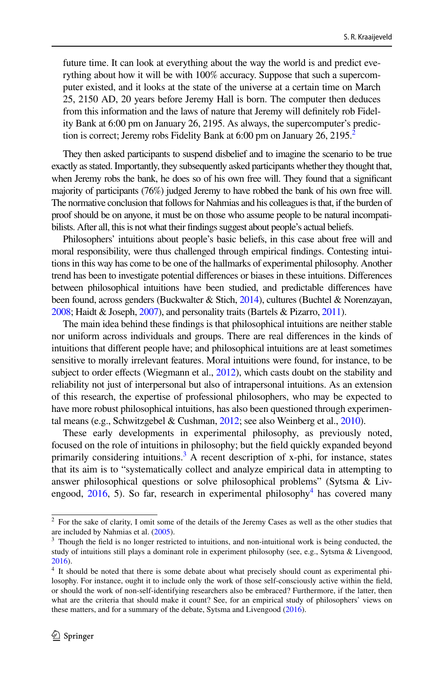future time. It can look at everything about the way the world is and predict everything about how it will be with 100% accuracy. Suppose that such a supercomputer existed, and it looks at the state of the universe at a certain time on March 25, 2150 AD, 20 years before Jeremy Hall is born. The computer then deduces from this information and the laws of nature that Jeremy will defnitely rob Fidelity Bank at 6:00 pm on January 26, 2195. As always, the supercomputer's prediction is correct; Jeremy robs Fidelity Bank at  $6:00$  pm on January [2](#page-3-0)6, 2195.<sup>2</sup>

They then asked participants to suspend disbelief and to imagine the scenario to be true exactly as stated. Importantly, they subsequently asked participants whether they thought that, when Jeremy robs the bank, he does so of his own free will. They found that a signifcant majority of participants (76%) judged Jeremy to have robbed the bank of his own free will. The normative conclusion that follows for Nahmias and his colleagues is that, if the burden of proof should be on anyone, it must be on those who assume people to be natural incompatibilists. After all, this is not what their fndings suggest about people's actual beliefs.

Philosophers' intuitions about people's basic beliefs, in this case about free will and moral responsibility, were thus challenged through empirical fndings. Contesting intuitions in this way has come to be one of the hallmarks of experimental philosophy. Another trend has been to investigate potential diferences or biases in these intuitions. Diferences between philosophical intuitions have been studied, and predictable diferences have been found, across genders (Buckwalter & Stich, [2014](#page-17-8)), cultures (Buchtel & Norenzayan, [2008](#page-17-9); Haidt & Joseph, [2007\)](#page-17-10), and personality traits (Bartels & Pizarro, [2011\)](#page-17-11).

The main idea behind these fndings is that philosophical intuitions are neither stable nor uniform across individuals and groups. There are real diferences in the kinds of intuitions that diferent people have; and philosophical intuitions are at least sometimes sensitive to morally irrelevant features. Moral intuitions were found, for instance, to be subject to order effects (Wiegmann et al.,  $2012$ ), which casts doubt on the stability and reliability not just of interpersonal but also of intrapersonal intuitions. As an extension of this research, the expertise of professional philosophers, who may be expected to have more robust philosophical intuitions, has also been questioned through experimental means (e.g., Schwitzgebel & Cushman, [2012;](#page-18-7) see also Weinberg et al., [2010\)](#page-19-2).

These early developments in experimental philosophy, as previously noted, focused on the role of intuitions in philosophy; but the feld quickly expanded beyond primarily considering intuitions.<sup>3</sup> A recent description of x-phi, for instance, states that its aim is to "systematically collect and analyze empirical data in attempting to answer philosophical questions or solve philosophical problems" (Sytsma & Livengood,  $2016$ , 5). So far, research in experimental philosophy<sup>4</sup> has covered many

<span id="page-3-0"></span><sup>&</sup>lt;sup>2</sup> For the sake of clarity, I omit some of the details of the Jeremy Cases as well as the other studies that are included by Nahmias et al. ([2005\)](#page-18-6).

<span id="page-3-1"></span> $3$  Though the field is no longer restricted to intuitions, and non-intuitional work is being conducted, the study of intuitions still plays a dominant role in experiment philosophy (see, e.g., Sytsma & Livengood, [2016](#page-19-3)).

<span id="page-3-2"></span><sup>4</sup> It should be noted that there is some debate about what precisely should count as experimental philosophy. For instance, ought it to include only the work of those self-consciously active within the feld, or should the work of non-self-identifying researchers also be embraced? Furthermore, if the latter, then what are the criteria that should make it count? See, for an empirical study of philosophers' views on these matters, and for a summary of the debate, Sytsma and Livengood ([2016\)](#page-19-3).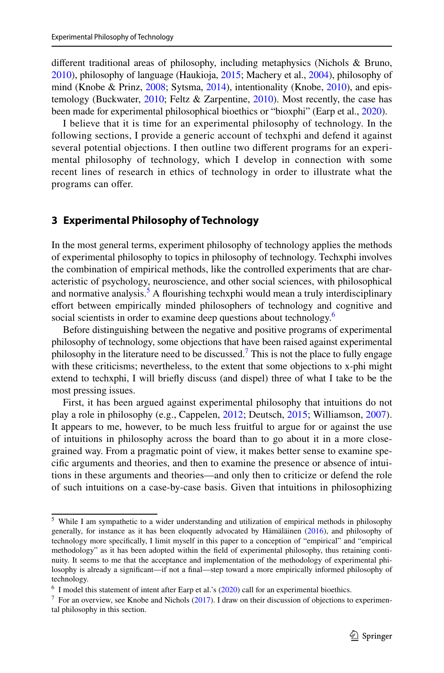diferent traditional areas of philosophy, including metaphysics (Nichols & Bruno, [2010\)](#page-18-8), philosophy of language (Haukioja, [2015;](#page-17-12) Machery et al., [2004\)](#page-18-9), philosophy of mind (Knobe & Prinz, [2008;](#page-18-10) Sytsma, [2014](#page-19-4)), intentionality (Knobe, [2010](#page-17-13)), and epis-temology (Buckwater, [2010](#page-17-14); Feltz & Zarpentine, [2010\)](#page-17-15). Most recently, the case has been made for experimental philosophical bioethics or "bioxphi" (Earp et al., [2020\)](#page-17-16).

I believe that it is time for an experimental philosophy of technology. In the following sections, I provide a generic account of techxphi and defend it against several potential objections. I then outline two diferent programs for an experimental philosophy of technology, which I develop in connection with some recent lines of research in ethics of technology in order to illustrate what the programs can offer.

### **3 Experimental Philosophy of Technology**

In the most general terms, experiment philosophy of technology applies the methods of experimental philosophy to topics in philosophy of technology. Techxphi involves the combination of empirical methods, like the controlled experiments that are characteristic of psychology, neuroscience, and other social sciences, with philosophical and normative analysis.<sup>5</sup> A flourishing techxphi would mean a truly interdisciplinary effort between empirically minded philosophers of technology and cognitive and social scientists in order to examine deep questions about technology.<sup>6</sup>

Before distinguishing between the negative and positive programs of experimental philosophy of technology, some objections that have been raised against experimental philosophy in the literature need to be discussed.<sup>[7](#page-4-2)</sup> This is not the place to fully engage with these criticisms; nevertheless, to the extent that some objections to x-phi might extend to techxphi, I will briefy discuss (and dispel) three of what I take to be the most pressing issues.

First, it has been argued against experimental philosophy that intuitions do not play a role in philosophy (e.g., Cappelen, [2012;](#page-17-5) Deutsch, [2015;](#page-17-7) Williamson, [2007](#page-19-5)). It appears to me, however, to be much less fruitful to argue for or against the use of intuitions in philosophy across the board than to go about it in a more closegrained way. From a pragmatic point of view, it makes better sense to examine specifc arguments and theories, and then to examine the presence or absence of intuitions in these arguments and theories—and only then to criticize or defend the role of such intuitions on a case-by-case basis. Given that intuitions in philosophizing

<span id="page-4-0"></span><sup>5</sup> While I am sympathetic to a wider understanding and utilization of empirical methods in philosophy generally, for instance as it has been eloquently advocated by Hämäläinen [\(2016](#page-17-1)), and philosophy of technology more specifcally, I limit myself in this paper to a conception of "empirical" and "empirical methodology" as it has been adopted within the feld of experimental philosophy, thus retaining continuity. It seems to me that the acceptance and implementation of the methodology of experimental philosophy is already a signifcant—if not a fnal—step toward a more empirically informed philosophy of technology.

<span id="page-4-1"></span> $6\,$  I model this statement of intent after Earp et al.'s ([2020\)](#page-17-16) call for an experimental bioethics.

<span id="page-4-2"></span> $^7$  For an overview, see Knobe and Nichols [\(2017](#page-18-11)). I draw on their discussion of objections to experimental philosophy in this section.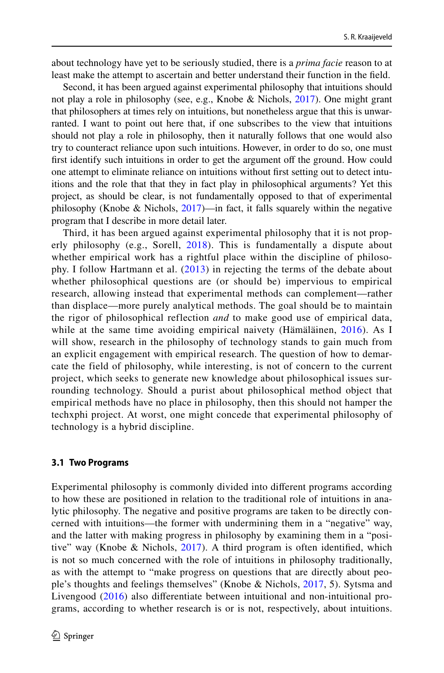about technology have yet to be seriously studied, there is a *prima facie* reason to at least make the attempt to ascertain and better understand their function in the feld.

Second, it has been argued against experimental philosophy that intuitions should not play a role in philosophy (see, e.g., Knobe & Nichols, [2017](#page-18-11)). One might grant that philosophers at times rely on intuitions, but nonetheless argue that this is unwarranted. I want to point out here that, if one subscribes to the view that intuitions should not play a role in philosophy, then it naturally follows that one would also try to counteract reliance upon such intuitions. However, in order to do so, one must frst identify such intuitions in order to get the argument of the ground. How could one attempt to eliminate reliance on intuitions without frst setting out to detect intuitions and the role that that they in fact play in philosophical arguments? Yet this project, as should be clear, is not fundamentally opposed to that of experimental philosophy (Knobe & Nichols, [2017\)](#page-18-11)—in fact, it falls squarely within the negative program that I describe in more detail later.

Third, it has been argued against experimental philosophy that it is not properly philosophy (e.g., Sorell,  $2018$ ). This is fundamentally a dispute about whether empirical work has a rightful place within the discipline of philosophy. I follow Hartmann et al. ([2013\)](#page-17-17) in rejecting the terms of the debate about whether philosophical questions are (or should be) impervious to empirical research, allowing instead that experimental methods can complement—rather than displace—more purely analytical methods. The goal should be to maintain the rigor of philosophical reflection *and* to make good use of empirical data, while at the same time avoiding empirical naivety (Hämäläinen, [2016\)](#page-17-1). As I will show, research in the philosophy of technology stands to gain much from an explicit engagement with empirical research. The question of how to demarcate the field of philosophy, while interesting, is not of concern to the current project, which seeks to generate new knowledge about philosophical issues surrounding technology. Should a purist about philosophical method object that empirical methods have no place in philosophy, then this should not hamper the techxphi project. At worst, one might concede that experimental philosophy of technology is a hybrid discipline.

### **3.1 Two Programs**

Experimental philosophy is commonly divided into diferent programs according to how these are positioned in relation to the traditional role of intuitions in analytic philosophy. The negative and positive programs are taken to be directly concerned with intuitions—the former with undermining them in a "negative" way, and the latter with making progress in philosophy by examining them in a "positive" way (Knobe & Nichols, [2017\)](#page-18-11). A third program is often identifed, which is not so much concerned with the role of intuitions in philosophy traditionally, as with the attempt to "make progress on questions that are directly about people's thoughts and feelings themselves" (Knobe & Nichols, [2017,](#page-18-11) 5). Sytsma and Livengood [\(2016](#page-19-3)) also diferentiate between intuitional and non-intuitional programs, according to whether research is or is not, respectively, about intuitions.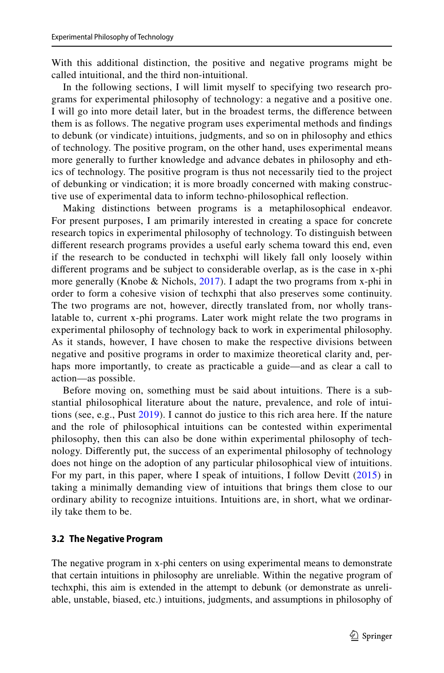With this additional distinction, the positive and negative programs might be called intuitional, and the third non-intuitional.

In the following sections, I will limit myself to specifying two research programs for experimental philosophy of technology: a negative and a positive one. I will go into more detail later, but in the broadest terms, the diference between them is as follows. The negative program uses experimental methods and fndings to debunk (or vindicate) intuitions, judgments, and so on in philosophy and ethics of technology. The positive program, on the other hand, uses experimental means more generally to further knowledge and advance debates in philosophy and ethics of technology. The positive program is thus not necessarily tied to the project of debunking or vindication; it is more broadly concerned with making constructive use of experimental data to inform techno-philosophical refection.

Making distinctions between programs is a metaphilosophical endeavor. For present purposes, I am primarily interested in creating a space for concrete research topics in experimental philosophy of technology. To distinguish between diferent research programs provides a useful early schema toward this end, even if the research to be conducted in techxphi will likely fall only loosely within diferent programs and be subject to considerable overlap, as is the case in x-phi more generally (Knobe & Nichols, [2017\)](#page-18-11). I adapt the two programs from x-phi in order to form a cohesive vision of techxphi that also preserves some continuity. The two programs are not, however, directly translated from, nor wholly translatable to, current x-phi programs. Later work might relate the two programs in experimental philosophy of technology back to work in experimental philosophy. As it stands, however, I have chosen to make the respective divisions between negative and positive programs in order to maximize theoretical clarity and, perhaps more importantly, to create as practicable a guide—and as clear a call to action—as possible.

Before moving on, something must be said about intuitions. There is a substantial philosophical literature about the nature, prevalence, and role of intuitions (see, e.g., Pust [2019\)](#page-18-13). I cannot do justice to this rich area here. If the nature and the role of philosophical intuitions can be contested within experimental philosophy, then this can also be done within experimental philosophy of technology. Diferently put, the success of an experimental philosophy of technology does not hinge on the adoption of any particular philosophical view of intuitions. For my part, in this paper, where I speak of intuitions, I follow Devitt ([2015\)](#page-17-18) in taking a minimally demanding view of intuitions that brings them close to our ordinary ability to recognize intuitions. Intuitions are, in short, what we ordinarily take them to be.

### **3.2 The Negative Program**

The negative program in x-phi centers on using experimental means to demonstrate that certain intuitions in philosophy are unreliable. Within the negative program of techxphi, this aim is extended in the attempt to debunk (or demonstrate as unreliable, unstable, biased, etc.) intuitions, judgments, and assumptions in philosophy of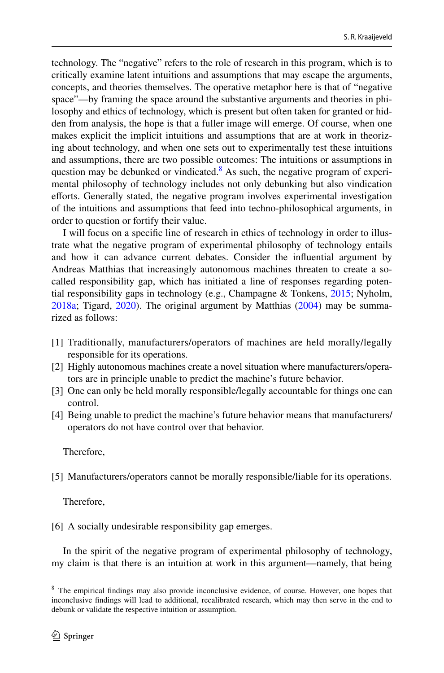technology. The "negative" refers to the role of research in this program, which is to critically examine latent intuitions and assumptions that may escape the arguments, concepts, and theories themselves. The operative metaphor here is that of "negative space"—by framing the space around the substantive arguments and theories in philosophy and ethics of technology, which is present but often taken for granted or hidden from analysis, the hope is that a fuller image will emerge. Of course, when one makes explicit the implicit intuitions and assumptions that are at work in theorizing about technology, and when one sets out to experimentally test these intuitions and assumptions, there are two possible outcomes: The intuitions or assumptions in question may be debunked or vindicated.<sup>[8](#page-7-0)</sup> As such, the negative program of experimental philosophy of technology includes not only debunking but also vindication efforts. Generally stated, the negative program involves experimental investigation of the intuitions and assumptions that feed into techno-philosophical arguments, in order to question or fortify their value.

I will focus on a specifc line of research in ethics of technology in order to illustrate what the negative program of experimental philosophy of technology entails and how it can advance current debates. Consider the infuential argument by Andreas Matthias that increasingly autonomous machines threaten to create a socalled responsibility gap, which has initiated a line of responses regarding potential responsibility gaps in technology (e.g., Champagne & Tonkens, [2015](#page-17-19); Nyholm, [2018a](#page-18-14); Tigard, [2020\)](#page-19-6). The original argument by Matthias [\(2004](#page-18-15)) may be summarized as follows:

- [1] Traditionally, manufacturers/operators of machines are held morally/legally responsible for its operations.
- [2] Highly autonomous machines create a novel situation where manufacturers/operators are in principle unable to predict the machine's future behavior.
- [3] One can only be held morally responsible/legally accountable for things one can control.
- [4] Being unable to predict the machine's future behavior means that manufacturers/ operators do not have control over that behavior.

Therefore,

[5] Manufacturers/operators cannot be morally responsible/liable for its operations.

Therefore,

[6] A socially undesirable responsibility gap emerges.

In the spirit of the negative program of experimental philosophy of technology, my claim is that there is an intuition at work in this argument—namely, that being

<span id="page-7-0"></span><sup>&</sup>lt;sup>8</sup> The empirical findings may also provide inconclusive evidence, of course. However, one hopes that inconclusive fndings will lead to additional, recalibrated research, which may then serve in the end to debunk or validate the respective intuition or assumption.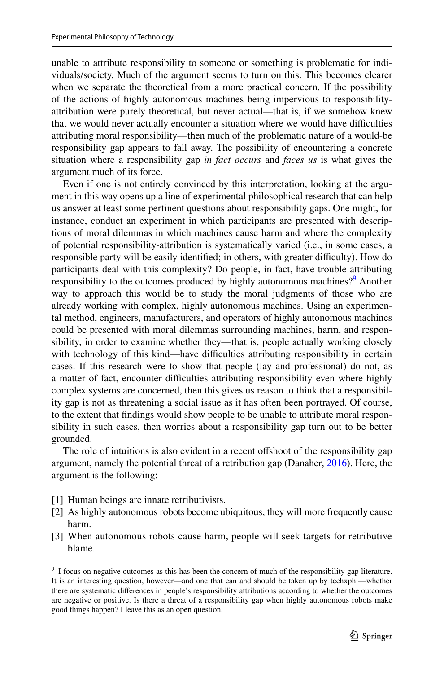unable to attribute responsibility to someone or something is problematic for individuals/society. Much of the argument seems to turn on this. This becomes clearer when we separate the theoretical from a more practical concern. If the possibility of the actions of highly autonomous machines being impervious to responsibilityattribution were purely theoretical, but never actual—that is, if we somehow knew that we would never actually encounter a situation where we would have difficulties attributing moral responsibility—then much of the problematic nature of a would-be responsibility gap appears to fall away. The possibility of encountering a concrete situation where a responsibility gap *in fact occurs* and *faces us* is what gives the argument much of its force.

Even if one is not entirely convinced by this interpretation, looking at the argument in this way opens up a line of experimental philosophical research that can help us answer at least some pertinent questions about responsibility gaps. One might, for instance, conduct an experiment in which participants are presented with descriptions of moral dilemmas in which machines cause harm and where the complexity of potential responsibility-attribution is systematically varied (i.e., in some cases, a responsible party will be easily identified; in others, with greater difficulty). How do participants deal with this complexity? Do people, in fact, have trouble attributing responsibility to the outcomes produced by highly autonomous machines?<sup>9</sup> Another way to approach this would be to study the moral judgments of those who are already working with complex, highly autonomous machines. Using an experimental method, engineers, manufacturers, and operators of highly autonomous machines could be presented with moral dilemmas surrounding machines, harm, and responsibility, in order to examine whether they—that is, people actually working closely with technology of this kind—have difficulties attributing responsibility in certain cases. If this research were to show that people (lay and professional) do not, as a matter of fact, encounter difficulties attributing responsibility even where highly complex systems are concerned, then this gives us reason to think that a responsibility gap is not as threatening a social issue as it has often been portrayed. Of course, to the extent that fndings would show people to be unable to attribute moral responsibility in such cases, then worries about a responsibility gap turn out to be better grounded.

The role of intuitions is also evident in a recent ofshoot of the responsibility gap argument, namely the potential threat of a retribution gap (Danaher, [2016](#page-17-20)). Here, the argument is the following:

- [1] Human beings are innate retributivists.
- [2] As highly autonomous robots become ubiquitous, they will more frequently cause harm.
- [3] When autonomous robots cause harm, people will seek targets for retributive blame.

<span id="page-8-0"></span><sup>&</sup>lt;sup>9</sup> I focus on negative outcomes as this has been the concern of much of the responsibility gap literature. It is an interesting question, however—and one that can and should be taken up by techxphi—whether there are systematic diferences in people's responsibility attributions according to whether the outcomes are negative or positive. Is there a threat of a responsibility gap when highly autonomous robots make good things happen? I leave this as an open question.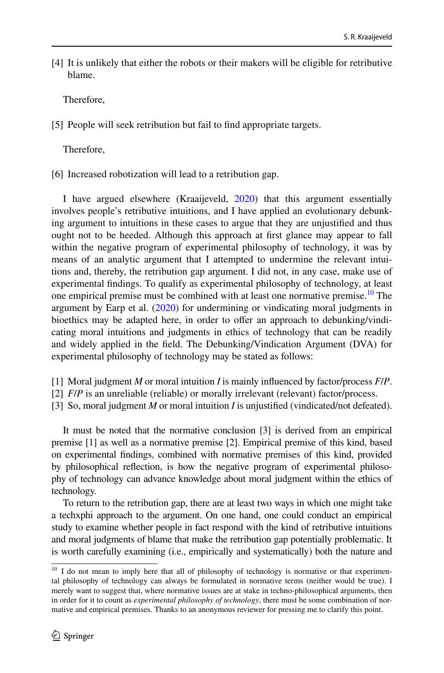[4] It is unlikely that either the robots or their makers will be eligible for retributive blame.

Therefore,

[5] People will seek retribution but fail to find appropriate targets.

Therefore,

[6] Increased robotization will lead to a retribution gap.

I have argued elsewhere (Kraaijeveld, [2020](#page-18-16)) that this argument essentially involves people's retributive intuitions, and I have applied an evolutionary debunking argument to intuitions in these cases to argue that they are unjustifed and thus ought not to be heeded. Although this approach at frst glance may appear to fall within the negative program of experimental philosophy of technology, it was by means of an analytic argument that I attempted to undermine the relevant intuitions and, thereby, the retribution gap argument. I did not, in any case, make use of experimental fndings. To qualify as experimental philosophy of technology, at least one empirical premise must be combined with at least one normative premise.<sup>10</sup> The argument by Earp et al.  $(2020)$  $(2020)$  for undermining or vindicating moral judgments in bioethics may be adapted here, in order to offer an approach to debunking/vindicating moral intuitions and judgments in ethics of technology that can be readily and widely applied in the feld. The Debunking/Vindication Argument (DVA) for experimental philosophy of technology may be stated as follows:

- [1] Moral judgment *M* or moral intuition *I* is mainly infuenced by factor/process *F*/*P*.
- [2] *F*/*P* is an unreliable (reliable) or morally irrelevant (relevant) factor/process.
- [3] So, moral judgment *M* or moral intuition *I* is unjustifed (vindicated/not defeated).

It must be noted that the normative conclusion [3] is derived from an empirical premise [1] as well as a normative premise [2]. Empirical premise of this kind, based on experimental fndings, combined with normative premises of this kind, provided by philosophical refection, is how the negative program of experimental philosophy of technology can advance knowledge about moral judgment within the ethics of technology.

To return to the retribution gap, there are at least two ways in which one might take a techxphi approach to the argument. On one hand, one could conduct an empirical study to examine whether people in fact respond with the kind of retributive intuitions and moral judgments of blame that make the retribution gap potentially problematic. It is worth carefully examining (i.e., empirically and systematically) both the nature and

<span id="page-9-0"></span><sup>&</sup>lt;sup>10</sup> I do not mean to imply here that all of philosophy of technology is normative or that experimental philosophy of technology can always be formulated in normative terms (neither would be true). I merely want to suggest that, where normative issues are at stake in techno-philosophical arguments, then in order for it to count as *experimental philosophy of technology*, there must be some combination of normative and empirical premises. Thanks to an anonymous reviewer for pressing me to clarify this point.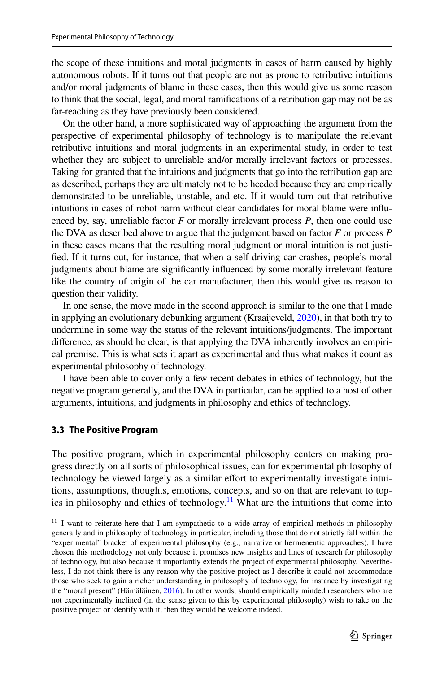the scope of these intuitions and moral judgments in cases of harm caused by highly autonomous robots. If it turns out that people are not as prone to retributive intuitions and/or moral judgments of blame in these cases, then this would give us some reason to think that the social, legal, and moral ramifcations of a retribution gap may not be as far-reaching as they have previously been considered.

On the other hand, a more sophisticated way of approaching the argument from the perspective of experimental philosophy of technology is to manipulate the relevant retributive intuitions and moral judgments in an experimental study, in order to test whether they are subject to unreliable and/or morally irrelevant factors or processes. Taking for granted that the intuitions and judgments that go into the retribution gap are as described, perhaps they are ultimately not to be heeded because they are empirically demonstrated to be unreliable, unstable, and etc. If it would turn out that retributive intuitions in cases of robot harm without clear candidates for moral blame were infuenced by, say, unreliable factor *F* or morally irrelevant process *P*, then one could use the DVA as described above to argue that the judgment based on factor *F* or process *P* in these cases means that the resulting moral judgment or moral intuition is not justifed. If it turns out, for instance, that when a self-driving car crashes, people's moral judgments about blame are signifcantly infuenced by some morally irrelevant feature like the country of origin of the car manufacturer, then this would give us reason to question their validity.

In one sense, the move made in the second approach is similar to the one that I made in applying an evolutionary debunking argument (Kraaijeveld, [2020](#page-18-16)), in that both try to undermine in some way the status of the relevant intuitions/judgments. The important diference, as should be clear, is that applying the DVA inherently involves an empirical premise. This is what sets it apart as experimental and thus what makes it count as experimental philosophy of technology.

I have been able to cover only a few recent debates in ethics of technology, but the negative program generally, and the DVA in particular, can be applied to a host of other arguments, intuitions, and judgments in philosophy and ethics of technology.

### **3.3 The Positive Program**

The positive program, which in experimental philosophy centers on making progress directly on all sorts of philosophical issues, can for experimental philosophy of technology be viewed largely as a similar efort to experimentally investigate intuitions, assumptions, thoughts, emotions, concepts, and so on that are relevant to top-ics in philosophy and ethics of technology.<sup>[11](#page-10-0)</sup> What are the intuitions that come into

<span id="page-10-0"></span><sup>&</sup>lt;sup>11</sup> I want to reiterate here that I am sympathetic to a wide array of empirical methods in philosophy generally and in philosophy of technology in particular, including those that do not strictly fall within the "experimental" bracket of experimental philosophy (e.g., narrative or hermeneutic approaches). I have chosen this methodology not only because it promises new insights and lines of research for philosophy of technology, but also because it importantly extends the project of experimental philosophy. Nevertheless, I do not think there is any reason why the positive project as I describe it could not accommodate those who seek to gain a richer understanding in philosophy of technology, for instance by investigating the "moral present" (Hämäläinen, [2016\)](#page-17-1). In other words, should empirically minded researchers who are not experimentally inclined (in the sense given to this by experimental philosophy) wish to take on the positive project or identify with it, then they would be welcome indeed.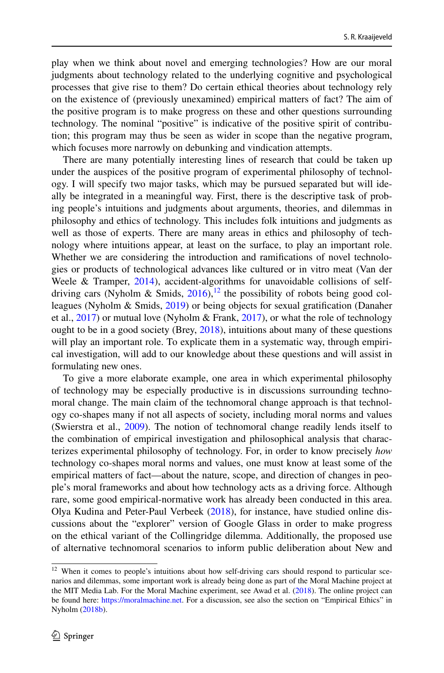play when we think about novel and emerging technologies? How are our moral judgments about technology related to the underlying cognitive and psychological processes that give rise to them? Do certain ethical theories about technology rely on the existence of (previously unexamined) empirical matters of fact? The aim of the positive program is to make progress on these and other questions surrounding technology. The nominal "positive" is indicative of the positive spirit of contribution; this program may thus be seen as wider in scope than the negative program, which focuses more narrowly on debunking and vindication attempts.

There are many potentially interesting lines of research that could be taken up under the auspices of the positive program of experimental philosophy of technology. I will specify two major tasks, which may be pursued separated but will ideally be integrated in a meaningful way. First, there is the descriptive task of probing people's intuitions and judgments about arguments, theories, and dilemmas in philosophy and ethics of technology. This includes folk intuitions and judgments as well as those of experts. There are many areas in ethics and philosophy of technology where intuitions appear, at least on the surface, to play an important role. Whether we are considering the introduction and ramifcations of novel technologies or products of technological advances like cultured or in vitro meat (Van der Weele & Tramper, [2014\)](#page-19-7), accident-algorithms for unavoidable collisions of selfdriving cars (Nyholm & Smids,  $2016$ ),<sup>[12](#page-11-0)</sup> the possibility of robots being good colleagues (Nyholm & Smids, [2019\)](#page-18-18) or being objects for sexual gratifcation (Danaher et al., [2017](#page-17-21)) or mutual love (Nyholm & Frank, [2017](#page-18-19)), or what the role of technology ought to be in a good society (Brey, [2018\)](#page-17-22), intuitions about many of these questions will play an important role. To explicate them in a systematic way, through empirical investigation, will add to our knowledge about these questions and will assist in formulating new ones.

To give a more elaborate example, one area in which experimental philosophy of technology may be especially productive is in discussions surrounding technomoral change. The main claim of the technomoral change approach is that technology co-shapes many if not all aspects of society, including moral norms and values (Swierstra et al., [2009](#page-19-8)). The notion of technomoral change readily lends itself to the combination of empirical investigation and philosophical analysis that characterizes experimental philosophy of technology. For, in order to know precisely *how* technology co-shapes moral norms and values, one must know at least some of the empirical matters of fact—about the nature, scope, and direction of changes in people's moral frameworks and about how technology acts as a driving force. Although rare, some good empirical-normative work has already been conducted in this area. Olya Kudina and Peter-Paul Verbeek [\(2018](#page-18-20)), for instance, have studied online discussions about the "explorer" version of Google Glass in order to make progress on the ethical variant of the Collingridge dilemma. Additionally, the proposed use of alternative technomoral scenarios to inform public deliberation about New and

<span id="page-11-0"></span><sup>&</sup>lt;sup>12</sup> When it comes to people's intuitions about how self-driving cars should respond to particular scenarios and dilemmas, some important work is already being done as part of the Moral Machine project at the MIT Media Lab. For the Moral Machine experiment, see Awad et al. [\(2018](#page-16-5)). The online project can be found here: <https://moralmachine.net>. For a discussion, see also the section on "Empirical Ethics" in Nyholm ([2018b\)](#page-18-21).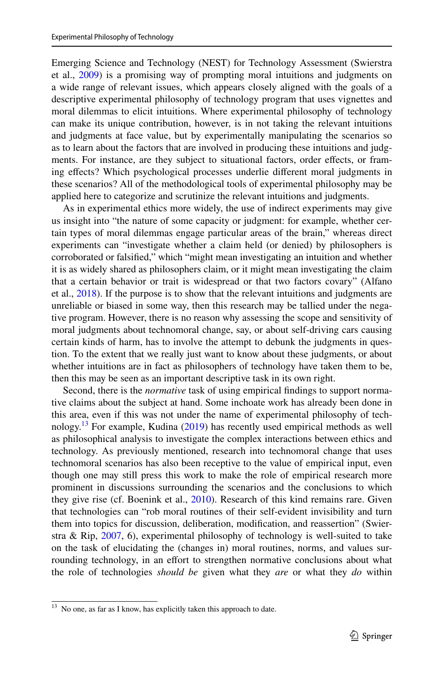Emerging Science and Technology (NEST) for Technology Assessment (Swierstra et al., [2009](#page-19-8)) is a promising way of prompting moral intuitions and judgments on a wide range of relevant issues, which appears closely aligned with the goals of a descriptive experimental philosophy of technology program that uses vignettes and moral dilemmas to elicit intuitions. Where experimental philosophy of technology can make its unique contribution, however, is in not taking the relevant intuitions and judgments at face value, but by experimentally manipulating the scenarios so as to learn about the factors that are involved in producing these intuitions and judgments. For instance, are they subject to situational factors, order efects, or framing efects? Which psychological processes underlie diferent moral judgments in these scenarios? All of the methodological tools of experimental philosophy may be applied here to categorize and scrutinize the relevant intuitions and judgments.

As in experimental ethics more widely, the use of indirect experiments may give us insight into "the nature of some capacity or judgment: for example, whether certain types of moral dilemmas engage particular areas of the brain," whereas direct experiments can "investigate whether a claim held (or denied) by philosophers is corroborated or falsifed," which "might mean investigating an intuition and whether it is as widely shared as philosophers claim, or it might mean investigating the claim that a certain behavior or trait is widespread or that two factors covary" (Alfano et al., [2018\)](#page-16-2). If the purpose is to show that the relevant intuitions and judgments are unreliable or biased in some way, then this research may be tallied under the negative program. However, there is no reason why assessing the scope and sensitivity of moral judgments about technomoral change, say, or about self-driving cars causing certain kinds of harm, has to involve the attempt to debunk the judgments in question. To the extent that we really just want to know about these judgments, or about whether intuitions are in fact as philosophers of technology have taken them to be, then this may be seen as an important descriptive task in its own right.

Second, there is the *normative* task of using empirical fndings to support normative claims about the subject at hand. Some inchoate work has already been done in this area, even if this was not under the name of experimental philosophy of technology.<sup>13</sup> For example, Kudina  $(2019)$  $(2019)$  has recently used empirical methods as well as philosophical analysis to investigate the complex interactions between ethics and technology. As previously mentioned, research into technomoral change that uses technomoral scenarios has also been receptive to the value of empirical input, even though one may still press this work to make the role of empirical research more prominent in discussions surrounding the scenarios and the conclusions to which they give rise (cf. Boenink et al., [2010](#page-17-23)). Research of this kind remains rare. Given that technologies can "rob moral routines of their self-evident invisibility and turn them into topics for discussion, deliberation, modifcation, and reassertion" (Swierstra & Rip, [2007](#page-19-9), 6), experimental philosophy of technology is well-suited to take on the task of elucidating the (changes in) moral routines, norms, and values surrounding technology, in an effort to strengthen normative conclusions about what the role of technologies *should be* given what they *are* or what they *do* within

<span id="page-12-0"></span><sup>&</sup>lt;sup>13</sup> No one, as far as I know, has explicitly taken this approach to date.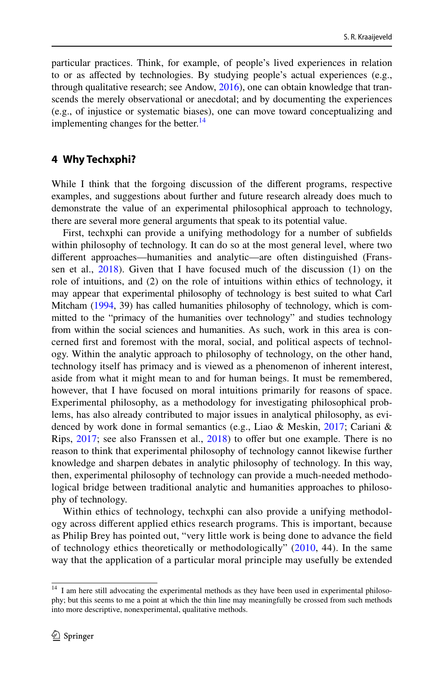particular practices. Think, for example, of people's lived experiences in relation to or as afected by technologies. By studying people's actual experiences (e.g., through qualitative research; see Andow, [2016\)](#page-16-6), one can obtain knowledge that transcends the merely observational or anecdotal; and by documenting the experiences (e.g., of injustice or systematic biases), one can move toward conceptualizing and implementing changes for the better. $^{14}$  $^{14}$  $^{14}$ 

### **4 Why Techxphi?**

While I think that the forgoing discussion of the diferent programs, respective examples, and suggestions about further and future research already does much to demonstrate the value of an experimental philosophical approach to technology, there are several more general arguments that speak to its potential value.

First, techxphi can provide a unifying methodology for a number of subfelds within philosophy of technology. It can do so at the most general level, where two diferent approaches—humanities and analytic—are often distinguished (Franssen et al., [2018](#page-17-24)). Given that I have focused much of the discussion (1) on the role of intuitions, and (2) on the role of intuitions within ethics of technology, it may appear that experimental philosophy of technology is best suited to what Carl Mitcham [\(1994,](#page-18-23) 39) has called humanities philosophy of technology, which is committed to the "primacy of the humanities over technology" and studies technology from within the social sciences and humanities. As such, work in this area is concerned frst and foremost with the moral, social, and political aspects of technology. Within the analytic approach to philosophy of technology, on the other hand, technology itself has primacy and is viewed as a phenomenon of inherent interest, aside from what it might mean to and for human beings. It must be remembered, however, that I have focused on moral intuitions primarily for reasons of space. Experimental philosophy, as a methodology for investigating philosophical problems, has also already contributed to major issues in analytical philosophy, as evidenced by work done in formal semantics (e.g., Liao & Meskin, [2017](#page-18-24); Cariani & Rips, [2017;](#page-17-25) see also Franssen et al., [2018](#page-17-24)) to ofer but one example. There is no reason to think that experimental philosophy of technology cannot likewise further knowledge and sharpen debates in analytic philosophy of technology. In this way, then, experimental philosophy of technology can provide a much-needed methodological bridge between traditional analytic and humanities approaches to philosophy of technology.

Within ethics of technology, techxphi can also provide a unifying methodology across diferent applied ethics research programs. This is important, because as Philip Brey has pointed out, "very little work is being done to advance the feld of technology ethics theoretically or methodologically" ([2010](#page-17-26), 44). In the same way that the application of a particular moral principle may usefully be extended

<span id="page-13-0"></span><sup>&</sup>lt;sup>14</sup> I am here still advocating the experimental methods as they have been used in experimental philosophy; but this seems to me a point at which the thin line may meaningfully be crossed from such methods into more descriptive, nonexperimental, qualitative methods.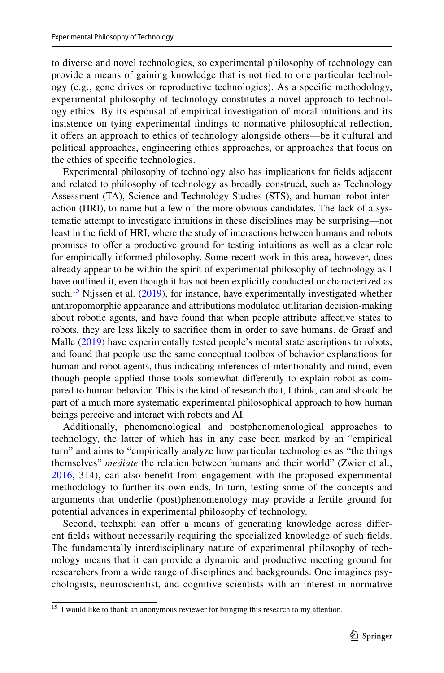to diverse and novel technologies, so experimental philosophy of technology can provide a means of gaining knowledge that is not tied to one particular technology (e.g., gene drives or reproductive technologies). As a specifc methodology, experimental philosophy of technology constitutes a novel approach to technology ethics. By its espousal of empirical investigation of moral intuitions and its insistence on tying experimental fndings to normative philosophical refection, it ofers an approach to ethics of technology alongside others—be it cultural and political approaches, engineering ethics approaches, or approaches that focus on the ethics of specifc technologies.

Experimental philosophy of technology also has implications for felds adjacent and related to philosophy of technology as broadly construed, such as Technology Assessment (TA), Science and Technology Studies (STS), and human–robot interaction (HRI), to name but a few of the more obvious candidates. The lack of a systematic attempt to investigate intuitions in these disciplines may be surprising—not least in the feld of HRI, where the study of interactions between humans and robots promises to offer a productive ground for testing intuitions as well as a clear role for empirically informed philosophy. Some recent work in this area, however, does already appear to be within the spirit of experimental philosophy of technology as I have outlined it, even though it has not been explicitly conducted or characterized as such.<sup>15</sup> Nijssen et al.  $(2019)$  $(2019)$ , for instance, have experimentally investigated whether anthropomorphic appearance and attributions modulated utilitarian decision-making about robotic agents, and have found that when people attribute afective states to robots, they are less likely to sacrifce them in order to save humans. de Graaf and Malle ([2019\)](#page-17-27) have experimentally tested people's mental state ascriptions to robots, and found that people use the same conceptual toolbox of behavior explanations for human and robot agents, thus indicating inferences of intentionality and mind, even though people applied those tools somewhat diferently to explain robot as compared to human behavior. This is the kind of research that, I think, can and should be part of a much more systematic experimental philosophical approach to how human beings perceive and interact with robots and AI.

Additionally, phenomenological and postphenomenological approaches to technology, the latter of which has in any case been marked by an "empirical turn" and aims to "empirically analyze how particular technologies as "the things themselves" *mediate* the relation between humans and their world" (Zwier et al., [2016,](#page-19-10) 314), can also beneft from engagement with the proposed experimental methodology to further its own ends. In turn, testing some of the concepts and arguments that underlie (post)phenomenology may provide a fertile ground for potential advances in experimental philosophy of technology.

Second, techxphi can offer a means of generating knowledge across different felds without necessarily requiring the specialized knowledge of such felds. The fundamentally interdisciplinary nature of experimental philosophy of technology means that it can provide a dynamic and productive meeting ground for researchers from a wide range of disciplines and backgrounds. One imagines psychologists, neuroscientist, and cognitive scientists with an interest in normative

<span id="page-14-0"></span><sup>&</sup>lt;sup>15</sup> I would like to thank an anonymous reviewer for bringing this research to my attention.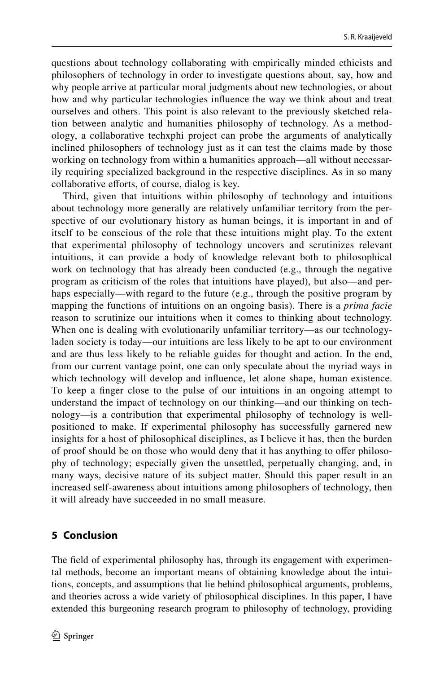questions about technology collaborating with empirically minded ethicists and philosophers of technology in order to investigate questions about, say, how and why people arrive at particular moral judgments about new technologies, or about how and why particular technologies infuence the way we think about and treat ourselves and others. This point is also relevant to the previously sketched relation between analytic and humanities philosophy of technology. As a methodology, a collaborative techxphi project can probe the arguments of analytically inclined philosophers of technology just as it can test the claims made by those working on technology from within a humanities approach—all without necessarily requiring specialized background in the respective disciplines. As in so many collaborative efforts, of course, dialog is key.

Third, given that intuitions within philosophy of technology and intuitions about technology more generally are relatively unfamiliar territory from the perspective of our evolutionary history as human beings, it is important in and of itself to be conscious of the role that these intuitions might play. To the extent that experimental philosophy of technology uncovers and scrutinizes relevant intuitions, it can provide a body of knowledge relevant both to philosophical work on technology that has already been conducted (e.g., through the negative program as criticism of the roles that intuitions have played), but also—and perhaps especially—with regard to the future (e.g., through the positive program by mapping the functions of intuitions on an ongoing basis). There is a *prima facie* reason to scrutinize our intuitions when it comes to thinking about technology. When one is dealing with evolutionarily unfamiliar territory—as our technologyladen society is today—our intuitions are less likely to be apt to our environment and are thus less likely to be reliable guides for thought and action. In the end, from our current vantage point, one can only speculate about the myriad ways in which technology will develop and infuence, let alone shape, human existence. To keep a fnger close to the pulse of our intuitions in an ongoing attempt to understand the impact of technology on our thinking—and our thinking on technology—is a contribution that experimental philosophy of technology is wellpositioned to make. If experimental philosophy has successfully garnered new insights for a host of philosophical disciplines, as I believe it has, then the burden of proof should be on those who would deny that it has anything to ofer philosophy of technology; especially given the unsettled, perpetually changing, and, in many ways, decisive nature of its subject matter. Should this paper result in an increased self-awareness about intuitions among philosophers of technology, then it will already have succeeded in no small measure.

## **5 Conclusion**

The feld of experimental philosophy has, through its engagement with experimental methods, become an important means of obtaining knowledge about the intuitions, concepts, and assumptions that lie behind philosophical arguments, problems, and theories across a wide variety of philosophical disciplines. In this paper, I have extended this burgeoning research program to philosophy of technology, providing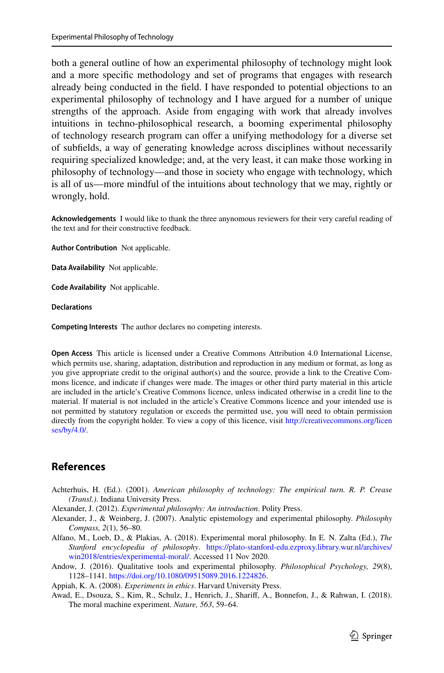both a general outline of how an experimental philosophy of technology might look and a more specifc methodology and set of programs that engages with research already being conducted in the feld. I have responded to potential objections to an experimental philosophy of technology and I have argued for a number of unique strengths of the approach. Aside from engaging with work that already involves intuitions in techno-philosophical research, a booming experimental philosophy of technology research program can ofer a unifying methodology for a diverse set of subfelds, a way of generating knowledge across disciplines without necessarily requiring specialized knowledge; and, at the very least, it can make those working in philosophy of technology—and those in society who engage with technology, which is all of us—more mindful of the intuitions about technology that we may, rightly or wrongly, hold.

**Acknowledgements** I would like to thank the three anynomous reviewers for their very careful reading of the text and for their constructive feedback.

**Author Contribution** Not applicable.

**Data Availability** Not applicable.

**Code Availability** Not applicable.

#### **Declarations**

**Competing Interests** The author declares no competing interests.

**Open Access** This article is licensed under a Creative Commons Attribution 4.0 International License, which permits use, sharing, adaptation, distribution and reproduction in any medium or format, as long as you give appropriate credit to the original author(s) and the source, provide a link to the Creative Commons licence, and indicate if changes were made. The images or other third party material in this article are included in the article's Creative Commons licence, unless indicated otherwise in a credit line to the material. If material is not included in the article's Creative Commons licence and your intended use is not permitted by statutory regulation or exceeds the permitted use, you will need to obtain permission directly from the copyright holder. To view a copy of this licence, visit [http://creativecommons.org/licen](http://creativecommons.org/licenses/by/4.0/) [ses/by/4.0/](http://creativecommons.org/licenses/by/4.0/).

### **References**

<span id="page-16-1"></span>Achterhuis, H. (Ed.). (2001). *American philosophy of technology: The empirical turn. R. P. Crease (Transl.)*. Indiana University Press.

<span id="page-16-3"></span>Alexander, J. (2012). *Experimental philosophy: An introduction*. Polity Press.

- <span id="page-16-4"></span>Alexander, J., & Weinberg, J. (2007). Analytic epistemology and experimental philosophy. *Philosophy Compass, 2*(1), 56–80.
- <span id="page-16-2"></span>Alfano, M., Loeb, D., & Plakias, A. (2018). Experimental moral philosophy. In E. N. Zalta (Ed.), *The Stanford encyclopedia of philosophy*. [https://plato-stanford-edu.ezproxy.library.wur.nl/archives/](https://plato-stanford-edu.ezproxy.library.wur.nl/archives/win2018/entries/experimental-moral/) [win2018/entries/experimental-moral/](https://plato-stanford-edu.ezproxy.library.wur.nl/archives/win2018/entries/experimental-moral/). Accessed 11 Nov 2020.

<span id="page-16-6"></span>Andow, J. (2016). Qualitative tools and experimental philosophy. *Philosophical Psychology, 29*(8), 1128–1141.<https://doi.org/10.1080/09515089.2016.1224826>.

<span id="page-16-0"></span>Appiah, K. A. (2008). *Experiments in ethics*. Harvard University Press.

<span id="page-16-5"></span>Awad, E., Dsouza, S., Kim, R., Schulz, J., Henrich, J., Sharif, A., Bonnefon, J., & Rahwan, I. (2018). The moral machine experiment. *Nature, 563*, 59–64.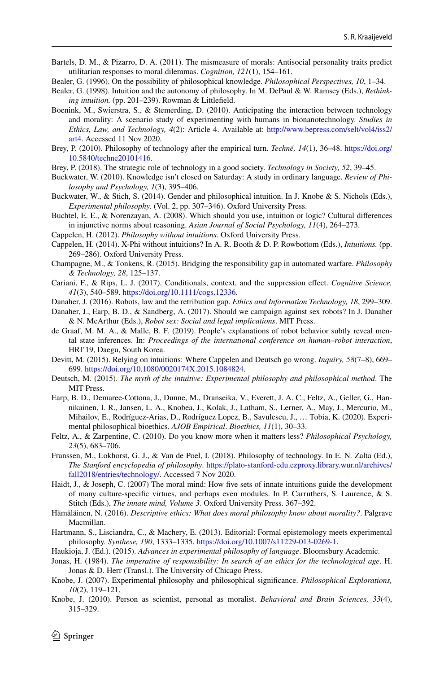- <span id="page-17-11"></span>Bartels, D. M., & Pizarro, D. A. (2011). The mismeasure of morals: Antisocial personality traits predict utilitarian responses to moral dilemmas. *Cognition, 121*(1), 154–161.
- <span id="page-17-3"></span>Bealer, G. (1996). On the possibility of philosophical knowledge. *Philosophical Perspectives, 10*, 1–34.
- <span id="page-17-4"></span>Bealer, G. (1998). Intuition and the autonomy of philosophy. In M. DePaul & W. Ramsey (Eds.), *Rethinking intuition.* (pp. 201–239). Rowman & Littlefeld.
- <span id="page-17-23"></span>Boenink, M., Swierstra, S., & Stemerding, D. (2010). Anticipating the interaction between technology and morality: A scenario study of experimenting with humans in bionanotechnology. *Studies in Ethics, Law, and Technology, 4*(2): Article 4. Available at: [http://www.bepress.com/selt/vol4/iss2/](http://www.bepress.com/selt/vol4/iss2/art4) [art4.](http://www.bepress.com/selt/vol4/iss2/art4) Accessed 11 Nov 2020.
- <span id="page-17-26"></span>Brey, P. (2010). Philosophy of technology after the empirical turn. *Techné, 14*(1), 36–48. [https://doi.org/](https://doi.org/10.5840/techne20101416) [10.5840/techne20101416](https://doi.org/10.5840/techne20101416).
- <span id="page-17-22"></span>Brey, P. (2018). The strategic role of technology in a good society. *Technology in Society, 52*, 39–45.
- <span id="page-17-14"></span>Buckwater, W. (2010). Knowledge isn't closed on Saturday: A study in ordinary language. *Review of Philosophy and Psychology, 1*(3), 395–406.
- <span id="page-17-8"></span>Buckwater, W., & Stich, S. (2014). Gender and philosophical intuition. In J. Knobe & S. Nichols (Eds.), *Experimental philosophy.* (Vol. 2, pp. 307–346). Oxford University Press.
- <span id="page-17-9"></span>Buchtel, E. E., & Norenzayan, A. (2008). Which should you use, intuition or logic? Cultural diferences in injunctive norms about reasoning. *Asian Journal of Social Psychology, 11*(4), 264–273.
- <span id="page-17-5"></span>Cappelen, H. (2012). *Philosophy without intuitions*. Oxford University Press.
- <span id="page-17-6"></span>Cappelen, H. (2014). X-Phi without intuitions? In A. R. Booth & D. P. Rowbottom (Eds.), *Intuitions.* (pp. 269–286). Oxford University Press.
- <span id="page-17-19"></span>Champagne, M., & Tonkens, R. (2015). Bridging the responsibility gap in automated warfare. *Philosophy & Technology, 28*, 125–137.
- <span id="page-17-25"></span>Cariani, F., & Rips, L. J. (2017). Conditionals, context, and the suppression efect. *Cognitive Science, 41*(3), 540–589.<https://doi.org/10.1111/cogs.12336>.
- <span id="page-17-20"></span>Danaher, J. (2016). Robots, law and the retribution gap. *Ethics and Information Technology, 18*, 299–309.
- <span id="page-17-21"></span>Danaher, J., Earp, B. D., & Sandberg, A. (2017). Should we campaign against sex robots? In J. Danaher & N. McArthur (Eds.), *Robot sex: Social and legal implications*. MIT Press.
- <span id="page-17-27"></span>de Graaf, M. M. A., & Malle, B. F. (2019). People's explanations of robot behavior subtly reveal mental state inferences. In: *Proceedings of the international conference on human–robot interaction*, HRI'19, Daegu, South Korea.
- <span id="page-17-18"></span>Devitt, M. (2015). Relying on intuitions: Where Cappelen and Deutsch go wrong. *Inquiry, 58*(7–8), 669– 699.<https://doi.org/10.1080/0020174X.2015.1084824>.
- <span id="page-17-7"></span>Deutsch, M. (2015). *The myth of the intuitive: Experimental philosophy and philosophical method*. The MIT Press.
- <span id="page-17-16"></span>Earp, B. D., Demaree-Cottona, J., Dunne, M., Dranseika, V., Everett, J. A. C., Feltz, A., Geller, G., Hannikainen, I. R., Jansen, L. A., Knobea, J., Kolak, J., Latham, S., Lerner, A., May, J., Mercurio, M., Mihailov, E., Rodríguez-Arias, D., Rodríguez Lopez, B., Savulescu, J., … Tobia, K. (2020). Experimental philosophical bioethics. *AJOB Empirical*. *Bioethics, 11*(1), 30–33.
- <span id="page-17-15"></span>Feltz, A., & Zarpentine, C. (2010). Do you know more when it matters less? *Philosophical Psychology, 23*(5), 683–706.
- <span id="page-17-24"></span>Franssen, M., Lokhorst, G. J., & Van de Poel, I. (2018). Philosophy of technology. In E. N. Zalta (Ed.), *The Stanford encyclopedia of philosophy*. [https://plato-stanford-edu.ezproxy.library.wur.nl/archives/](https://plato-stanford-edu.ezproxy.library.wur.nl/archives/fall2018/entries/technology/) [fall2018/entries/technology/](https://plato-stanford-edu.ezproxy.library.wur.nl/archives/fall2018/entries/technology/). Accessed 7 Nov 2020.
- <span id="page-17-10"></span>Haidt, J., & Joseph, C. (2007) The moral mind: How five sets of innate intuitions guide the development of many culture-specifc virtues, and perhaps even modules. In P. Carruthers, S. Laurence, & S. Stitch (Eds.), *The innate mind, Volume 3*. Oxford University Press. 367–392.
- <span id="page-17-1"></span>Hämäläinen, N. (2016). *Descriptive ethics: What does moral philosophy know about morality?*. Palgrave Macmillan.
- <span id="page-17-17"></span>Hartmann, S., Lisciandra, C., & Machery, E. (2013). Editorial: Formal epistemology meets experimental philosophy. *Synthese, 190*, 1333–1335. <https://doi.org/10.1007/s11229-013-0269-1>.
- <span id="page-17-12"></span>Haukioja, J. (Ed.). (2015). *Advances in experimental philosophy of language*. Bloomsbury Academic.
- <span id="page-17-0"></span>Jonas, H. (1984). *The imperative of responsibility: In search of an ethics for the technological age*. H. Jonas & D. Herr (Transl.). The University of Chicago Press.
- <span id="page-17-2"></span>Knobe, J. (2007). Experimental philosophy and philosophical signifcance. *Philosophical Explorations, 10*(2), 119–121.
- <span id="page-17-13"></span>Knobe, J. (2010). Person as scientist, personal as moralist. *Behavioral and Brain Sciences, 33*(4), 315–329.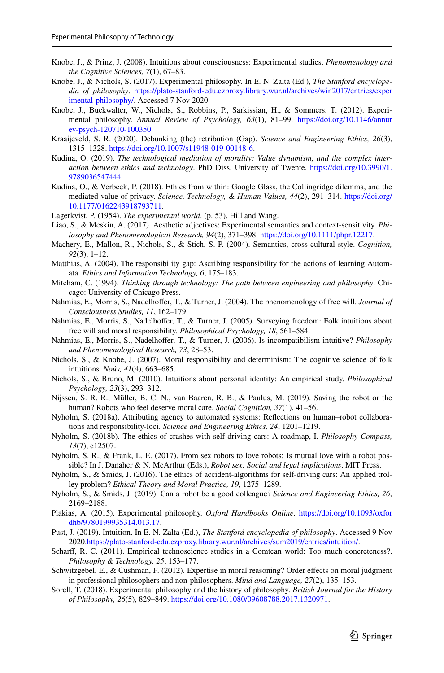- <span id="page-18-10"></span>Knobe, J., & Prinz, J. (2008). Intuitions about consciousness: Experimental studies. *Phenomenology and the Cognitive Sciences, 7*(1), 67–83.
- <span id="page-18-11"></span>Knobe, J., & Nichols, S. (2017). Experimental philosophy. In E. N. Zalta (Ed.), *The Stanford encyclopedia of philosophy*. [https://plato-stanford-edu.ezproxy.library.wur.nl/archives/win2017/entries/exper](https://plato-stanford-edu.ezproxy.library.wur.nl/archives/win2017/entries/experimental-philosophy/) [imental-philosophy/](https://plato-stanford-edu.ezproxy.library.wur.nl/archives/win2017/entries/experimental-philosophy/). Accessed 7 Nov 2020.
- <span id="page-18-4"></span>Knobe, J., Buckwalter, W., Nichols, S., Robbins, P., Sarkissian, H., & Sommers, T. (2012). Experimental philosophy. *Annual Review of Psychology, 63*(1), 81–99. [https://doi.org/10.1146/annur](https://doi.org/10.1146/annurev-psych-120710-100350) [ev-psych-120710-100350.](https://doi.org/10.1146/annurev-psych-120710-100350)
- <span id="page-18-16"></span>Kraaijeveld, S. R. (2020). Debunking (the) retribution (Gap). *Science and Engineering Ethics, 26*(3), 1315–1328. [https://doi.org/10.1007/s11948-019-00148-6.](https://doi.org/10.1007/s11948-019-00148-6)
- <span id="page-18-22"></span>Kudina, O. (2019). *The technological mediation of morality: Value dynamism, and the complex interaction between ethics and technology*. PhD Diss. University of Twente. [https://doi.org/10.3990/1.](https://doi.org/10.3990/1.9789036547444) [9789036547444](https://doi.org/10.3990/1.9789036547444).
- <span id="page-18-20"></span>Kudina, O., & Verbeek, P. (2018). Ethics from within: Google Glass, the Collingridge dilemma, and the mediated value of privacy. *Science, Technology, & Human Values, 44*(2), 291–314. [https://doi.org/](https://doi.org/10.1177/0162243918793711) [10.1177/0162243918793711](https://doi.org/10.1177/0162243918793711).
- <span id="page-18-0"></span>Lagerkvist, P. (1954). *The experimental world*. (p. 53). Hill and Wang.
- <span id="page-18-24"></span>Liao, S., & Meskin, A. (2017). Aesthetic adjectives: Experimental semantics and context-sensitivity. *Philosophy and Phenomenological Research, 94*(2), 371–398.<https://doi.org/10.1111/phpr.12217>.
- <span id="page-18-9"></span>Machery, E., Mallon, R., Nichols, S., & Stich, S. P. (2004). Semantics, cross-cultural style. *Cognition, 92*(3), 1–12.
- <span id="page-18-15"></span>Matthias, A. (2004). The responsibility gap: Ascribing responsibility for the actions of learning Automata. *Ethics and Information Technology, 6*, 175–183.
- <span id="page-18-23"></span>Mitcham, C. (1994). *Thinking through technology: The path between engineering and philosophy*. Chicago: University of Chicago Press.
- <span id="page-18-5"></span>Nahmias, E., Morris, S., Nadelhofer, T., & Turner, J. (2004). The phenomenology of free will. *Journal of Consciousness Studies, 11*, 162–179.
- <span id="page-18-6"></span>Nahmias, E., Morris, S., Nadelhofer, T., & Turner, J. (2005). Surveying freedom: Folk intuitions about free will and moral responsibility. *Philosophical Psychology, 18*, 561–584.
- Nahmias, E., Morris, S., Nadelhofer, T., & Turner, J. (2006). Is incompatibilism intuitive? *Philosophy and Phenomenological Research, 73*, 28–53.
- <span id="page-18-1"></span>Nichols, S., & Knobe, J. (2007). Moral responsibility and determinism: The cognitive science of folk intuitions. *Noûs, 41*(4), 663–685.
- <span id="page-18-8"></span>Nichols, S., & Bruno, M. (2010). Intuitions about personal identity: An empirical study. *Philosophical Psychology, 23*(3), 293–312.
- <span id="page-18-25"></span>Nijssen, S. R. R., Müller, B. C. N., van Baaren, R. B., & Paulus, M. (2019). Saving the robot or the human? Robots who feel deserve moral care. *Social Cognition, 37*(1), 41–56.
- <span id="page-18-14"></span>Nyholm, S. (2018a). Attributing agency to automated systems: Refections on human–robot collaborations and responsibility-loci. *Science and Engineering Ethics, 24*, 1201–1219.
- <span id="page-18-21"></span>Nyholm, S. (2018b). The ethics of crashes with self-driving cars: A roadmap, I. *Philosophy Compass, 13*(7), e12507.
- <span id="page-18-19"></span>Nyholm, S. R., & Frank, L. E. (2017). From sex robots to love robots: Is mutual love with a robot possible? In J. Danaher & N. McArthur (Eds.), *Robot sex: Social and legal implications*. MIT Press.
- <span id="page-18-17"></span>Nyholm, S., & Smids, J. (2016). The ethics of accident-algorithms for self-driving cars: An applied trolley problem? *Ethical Theory and Moral Practice, 19*, 1275–1289.
- <span id="page-18-18"></span>Nyholm, S., & Smids, J. (2019). Can a robot be a good colleague? *Science and Engineering Ethics, 26*, 2169–2188.
- <span id="page-18-2"></span>Plakias, A. (2015). Experimental philosophy. *Oxford Handbooks Online*. [https://doi.org/10.1093/oxfor](https://doi.org/10.1093/oxfordhb/9780199935314.013.17) [dhb/9780199935314.013.17](https://doi.org/10.1093/oxfordhb/9780199935314.013.17).
- <span id="page-18-13"></span>Pust, J. (2019). Intuition. In E. N. Zalta (Ed.), *The Stanford encyclopedia of philosophy*. Accessed 9 Nov 2020[.https://plato-stanford-edu.ezproxy.library.wur.nl/archives/sum2019/entries/intuition/.](https://plato-stanford-edu.ezproxy.library.wur.nl/archives/sum2019/entries/intuition/)
- <span id="page-18-3"></span>Scharff, R. C. (2011). Empirical technoscience studies in a Comtean world: Too much concreteness?. *Philosophy & Technology, 25*, 153–177.
- <span id="page-18-7"></span>Schwitzgebel, E., & Cushman, F. (2012). Expertise in moral reasoning? Order efects on moral judgment in professional philosophers and non-philosophers. *Mind and Language, 27*(2), 135–153.
- <span id="page-18-12"></span>Sorell, T. (2018). Experimental philosophy and the history of philosophy. *British Journal for the History of Philosophy, 26*(5), 829–849. [https://doi.org/10.1080/09608788.2017.1320971.](https://doi.org/10.1080/09608788.2017.1320971)